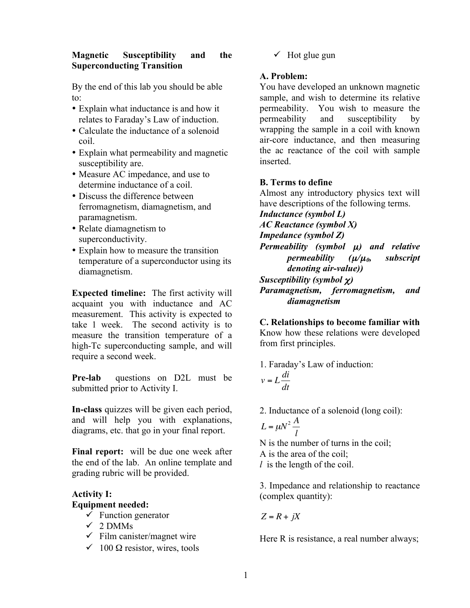#### **Magnetic Susceptibility and the Superconducting Transition**

By the end of this lab you should be able to:

- Explain what inductance is and how it relates to Faraday's Law of induction.
- Calculate the inductance of a solenoid coil.
- Explain what permeability and magnetic susceptibility are.
- Measure AC impedance, and use to determine inductance of a coil.
- Discuss the difference between ferromagnetism, diamagnetism, and paramagnetism.
- Relate diamagnetism to superconductivity.
- Explain how to measure the transition temperature of a superconductor using its diamagnetism.

**Expected timeline:** The first activity will acquaint you with inductance and AC measurement. This activity is expected to take 1 week. The second activity is to measure the transition temperature of a high-Tc superconducting sample, and will require a second week.

**Pre-lab** questions on D2L must be submitted prior to Activity I.

**In-class** quizzes will be given each period, and will help you with explanations, diagrams, etc. that go in your final report.

**Final report:** will be due one week after the end of the lab. An online template and grading rubric will be provided.

# **Activity I: Equipment needed:**

- $\checkmark$  Function generator
- $\checkmark$  2 DMMs
- $\checkmark$  Film canister/magnet wire
- $\checkmark$  100  $\Omega$  resistor, wires, tools

 $\checkmark$  Hot glue gun

## **A. Problem:**

You have developed an unknown magnetic sample, and wish to determine its relative permeability. You wish to measure the permeability and susceptibility by wrapping the sample in a coil with known air-core inductance, and then measuring the ac reactance of the coil with sample inserted.

## **B. Terms to define**

Almost any introductory physics text will have descriptions of the following terms.

*Inductance (symbol L)*

*AC Reactance (symbol X)*

*Impedance (symbol Z)*

*Permeability (symbol* µ*) and relative permeability (*µ*/*µ*0, subscript denoting air-value)) Susceptibility (symbol* χ*)*

*Paramagnetism, ferromagnetism, and diamagnetism*

**C. Relationships to become familiar with** Know how these relations were developed from first principles.

1. Faraday's Law of induction:  $v = L \frac{di}{dt}$ *dt*

2. Inductance of a solenoid (long coil):

$$
L = \mu N^2 \frac{A}{l}
$$

N is the number of turns in the coil; A is the area of the coil;

*l* is the length of the coil.

3. Impedance and relationship to reactance (complex quantity):

 $Z = R + iX$ 

Here R is resistance, a real number always;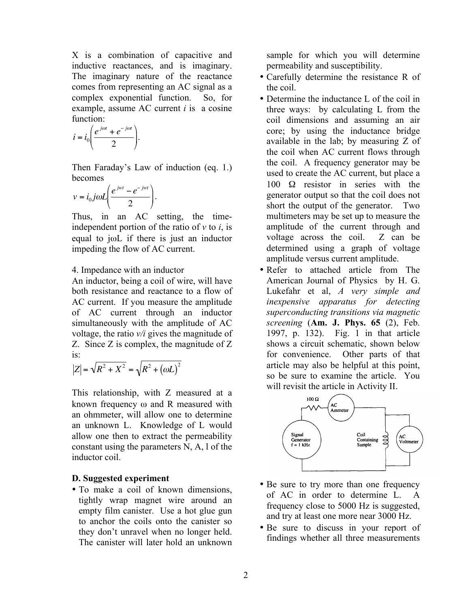X is a combination of capacitive and inductive reactances, and is imaginary. The imaginary nature of the reactance comes from representing an AC signal as a complex exponential function. So, for example, assume AC current *i* is a cosine function:

$$
i = i_0 \left( \frac{e^{j\omega t} + e^{-j\omega t}}{2} \right).
$$

Then Faraday's Law of induction (eq. 1.) becomes

$$
v = i_0 j \omega L \left( \frac{e^{jwt} - e^{-jwt}}{2} \right).
$$

Thus, in an AC setting, the timeindependent portion of the ratio of *v* to *i*, is equal to jωL if there is just an inductor impeding the flow of AC current.

4. Impedance with an inductor

An inductor, being a coil of wire, will have both resistance and reactance to a flow of AC current. If you measure the amplitude of AC current through an inductor simultaneously with the amplitude of AC voltage, the ratio *v/i* gives the magnitude of Z. Since Z is complex, the magnitude of Z is:

$$
|Z| = \sqrt{R^2 + X^2} = \sqrt{R^2 + (\omega L)^2}
$$

This relationship, with Z measured at a known frequency ω and R measured with an ohmmeter, will allow one to determine an unknown L. Knowledge of L would allow one then to extract the permeability constant using the parameters N, A, l of the inductor coil.

## **D. Suggested experiment**

• To make a coil of known dimensions, tightly wrap magnet wire around an empty film canister. Use a hot glue gun to anchor the coils onto the canister so they don't unravel when no longer held. The canister will later hold an unknown sample for which you will determine permeability and susceptibility.

- Carefully determine the resistance R of the coil.
- Determine the inductance L of the coil in three ways: by calculating L from the coil dimensions and assuming an air core; by using the inductance bridge available in the lab; by measuring Z of the coil when AC current flows through the coil. A frequency generator may be used to create the AC current, but place a 100 Ω resistor in series with the generator output so that the coil does not short the output of the generator. Two multimeters may be set up to measure the amplitude of the current through and voltage across the coil. Z can be determined using a graph of voltage amplitude versus current amplitude.
- Refer to attached article from The American Journal of Physics by H. G. Lukefahr et al, *A very simple and inexpensive apparatus for detecting superconducting transitions via magnetic screening* (**Am. J. Phys. 65** (2), Feb. 1997, p. 132). Fig. 1 in that article shows a circuit schematic, shown below for convenience. Other parts of that article may also be helpful at this point, so be sure to examine the article. You will revisit the article in Activity II.



- Be sure to try more than one frequency of AC in order to determine L. A frequency close to 5000 Hz is suggested, and try at least one more near 3000 Hz.
- Be sure to discuss in your report of findings whether all three measurements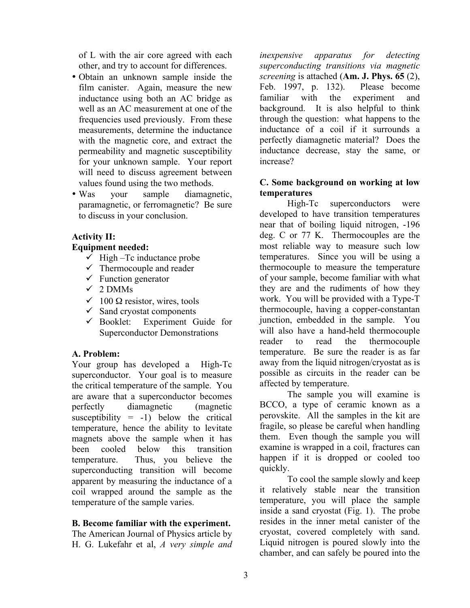of L with the air core agreed with each other, and try to account for differences.

- Obtain an unknown sample inside the film canister. Again, measure the new inductance using both an AC bridge as well as an AC measurement at one of the frequencies used previously. From these measurements, determine the inductance with the magnetic core, and extract the permeability and magnetic susceptibility for your unknown sample. Your report will need to discuss agreement between values found using the two methods.
- Was your sample diamagnetic, paramagnetic, or ferromagnetic? Be sure to discuss in your conclusion.

## **Activity II:**

## **Equipment needed:**

- $\checkmark$  High –Tc inductance probe
- $\checkmark$  Thermocouple and reader
- $\checkmark$  Function generator
- $\checkmark$  2 DMMs
- $\checkmark$  100  $\Omega$  resistor, wires, tools
- $\checkmark$  Sand cryostat components
- $\checkmark$  Booklet: Experiment Guide for Superconductor Demonstrations

## **A. Problem:**

Your group has developed a High-Tc superconductor. Your goal is to measure the critical temperature of the sample. You are aware that a superconductor becomes perfectly diamagnetic (magnetic susceptibility  $= -1$ ) below the critical temperature, hence the ability to levitate magnets above the sample when it has been cooled below this transition temperature. Thus, you believe the superconducting transition will become apparent by measuring the inductance of a coil wrapped around the sample as the temperature of the sample varies.

## **B. Become familiar with the experiment.**

The American Journal of Physics article by H. G. Lukefahr et al, *A very simple and* 

*inexpensive apparatus for detecting superconducting transitions via magnetic screening* is attached (**Am. J. Phys. 65** (2), Feb. 1997, p. 132). Please become familiar with the experiment and background. It is also helpful to think through the question: what happens to the inductance of a coil if it surrounds a perfectly diamagnetic material? Does the inductance decrease, stay the same, or increase?

## **C. Some background on working at low temperatures**

High-Tc superconductors were developed to have transition temperatures near that of boiling liquid nitrogen, -196 deg. C or 77 K. Thermocouples are the most reliable way to measure such low temperatures. Since you will be using a thermocouple to measure the temperature of your sample, become familiar with what they are and the rudiments of how they work. You will be provided with a Type-T thermocouple, having a copper-constantan junction, embedded in the sample. You will also have a hand-held thermocouple reader to read the thermocouple temperature. Be sure the reader is as far away from the liquid nitrogen/cryostat as is possible as circuits in the reader can be affected by temperature.

The sample you will examine is BCCO, a type of ceramic known as a perovskite. All the samples in the kit are fragile, so please be careful when handling them. Even though the sample you will examine is wrapped in a coil, fractures can happen if it is dropped or cooled too quickly.

To cool the sample slowly and keep it relatively stable near the transition temperature, you will place the sample inside a sand cryostat (Fig. 1). The probe resides in the inner metal canister of the cryostat, covered completely with sand. Liquid nitrogen is poured slowly into the chamber, and can safely be poured into the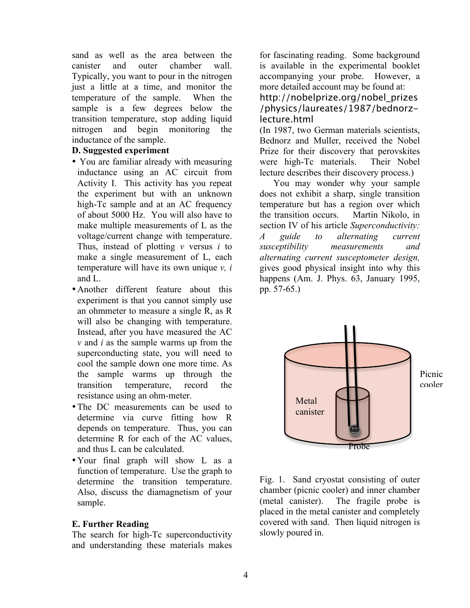sand as well as the area between the canister and outer chamber wall. Typically, you want to pour in the nitrogen just a little at a time, and monitor the temperature of the sample. When the sample is a few degrees below the transition temperature, stop adding liquid nitrogen and begin monitoring the inductance of the sample.

#### **D. Suggested experiment**

- You are familiar already with measuring inductance using an AC circuit from Activity I. This activity has you repeat the experiment but with an unknown high-Tc sample and at an AC frequency of about 5000 Hz. You will also have to make multiple measurements of L as the voltage/current change with temperature. Thus, instead of plotting *v* versus *i* to make a single measurement of L, each temperature will have its own unique *v, i*  and L.
- Another different feature about this experiment is that you cannot simply use an ohmmeter to measure a single R, as R will also be changing with temperature. Instead, after you have measured the AC *v* and *i* as the sample warms up from the superconducting state, you will need to cool the sample down one more time. As the sample warms up through the transition temperature, record the resistance using an ohm-meter.
- The DC measurements can be used to determine via curve fitting how R depends on temperature. Thus, you can determine R for each of the AC values, and thus L can be calculated.
- •Your final graph will show L as a function of temperature. Use the graph to determine the transition temperature. Also, discuss the diamagnetism of your sample.

#### **E. Further Reading**

The search for high-Tc superconductivity and understanding these materials makes for fascinating reading. Some background is available in the experimental booklet accompanying your probe. However, a more detailed account may be found at: http://nobelprize.org/nobel\_prizes

/physics/laureates/1987/bednorzlecture.html

(In 1987, two German materials scientists, Bednorz and Muller, received the Nobel Prize for their discovery that perovskites were high-Tc materials. Their Nobel lecture describes their discovery process.)

 You may wonder why your sample does not exhibit a sharp, single transition temperature but has a region over which the transition occurs. Martin Nikolo, in section IV of his article *Superconductivity: A guide to alternating current susceptibility measurements and alternating current susceptometer design,*  gives good physical insight into why this happens (Am. J. Phys. 63, January 1995, pp. 57-65.)



Picnic cooler

Fig. 1. Sand cryostat consisting of outer chamber (picnic cooler) and inner chamber (metal canister). The fragile probe is placed in the metal canister and completely covered with sand. Then liquid nitrogen is slowly poured in.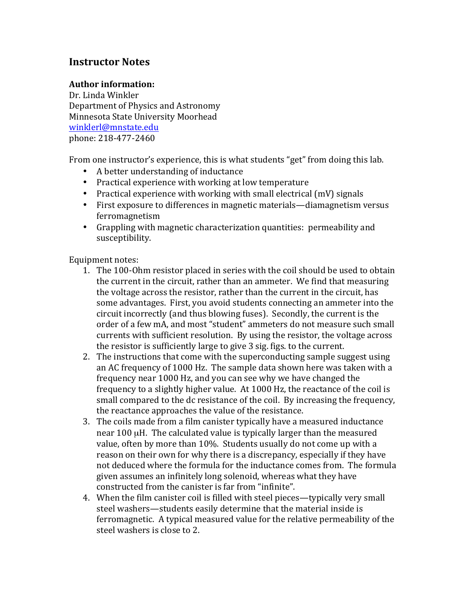# **Instructor Notes**

## **Author)information:**

Dr. Linda Winkler Department of Physics and Astronomy Minnesota State University Moorhead winklerl@mnstate.edu phone: 218-477-2460

From one instructor's experience, this is what students "get" from doing this lab.

- A better understanding of inductance
- Practical experience with working at low temperature
- Practical experience with working with small electrical (mV) signals
- First exposure to differences in magnetic materials—diamagnetism versus ferromagnetism
- Grappling with magnetic characterization quantities: permeability and susceptibility.

Equipment notes:

- 1. The 100-Ohm resistor placed in series with the coil should be used to obtain the current in the circuit, rather than an ammeter. We find that measuring the voltage across the resistor, rather than the current in the circuit, has some advantages. First, you avoid students connecting an ammeter into the circuit incorrectly (and thus blowing fuses). Secondly, the current is the order of a few mA, and most "student" ammeters do not measure such small currents with sufficient resolution. By using the resistor, the voltage across the resistor is sufficiently large to give 3 sig. figs. to the current.
- 2. The instructions that come with the superconducting sample suggest using an AC frequency of 1000 Hz. The sample data shown here was taken with a frequency near 1000 Hz, and you can see why we have changed the frequency to a slightly higher value. At  $1000$  Hz, the reactance of the coil is small compared to the dc resistance of the coil. By increasing the frequency, the reactance approaches the value of the resistance.
- 3. The coils made from a film canister typically have a measured inductance near 100 µH. The calculated value is typically larger than the measured value, often by more than 10%. Students usually do not come up with a reason on their own for why there is a discrepancy, especially if they have not deduced where the formula for the inductance comes from. The formula given assumes an infinitely long solenoid, whereas what they have constructed from the canister is far from "infinite".
- 4. When the film canister coil is filled with steel pieces—typically very small steel washers—students easily determine that the material inside is ferromagnetic. A typical measured value for the relative permeability of the steel washers is close to 2.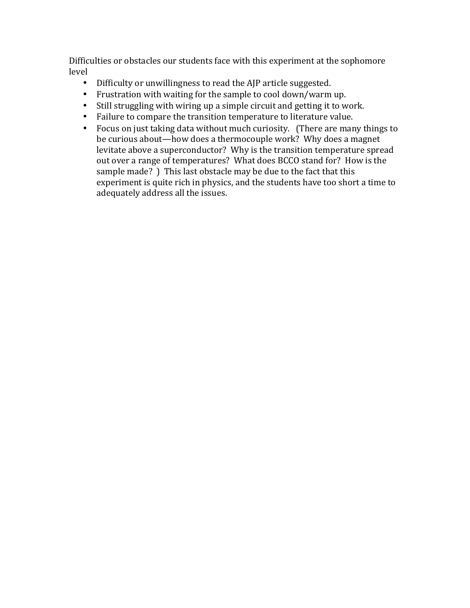Difficulties or obstacles our students face with this experiment at the sophomore level

- Difficulty or unwillingness to read the AJP article suggested.
- Frustration with waiting for the sample to cool down/warm up.
- Still struggling with wiring up a simple circuit and getting it to work.
- Failure to compare the transition temperature to literature value.
- Focus on just taking data without much curiosity. (There are many things to be curious about—how does a thermocouple work? Why does a magnet levitate above a superconductor? Why is the transition temperature spread out over a range of temperatures? What does BCCO stand for? How is the sample made? ) This last obstacle may be due to the fact that this experiment is quite rich in physics, and the students have too short a time to adequately address all the issues.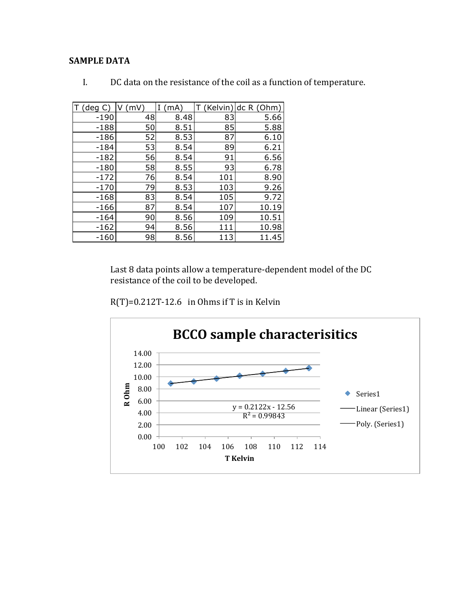## **SAMPLE DATA**

| (deg   | (mV) | I<br>(mA) | (Kelvin | dc R (Ohm) |
|--------|------|-----------|---------|------------|
| $-190$ | 48   | 8.48      | 83      | 5.66       |
| $-188$ | 50   | 8.51      | 85      | 5.88       |
| $-186$ | 52   | 8.53      | 87      | 6.10       |
| $-184$ | 53   | 8.54      | 89      | 6.21       |
| $-182$ | 56   | 8.54      | 91      | 6.56       |
| $-180$ | 58   | 8.55      | 93      | 6.78       |
| $-172$ | 76   | 8.54      | 101     | 8.90       |
| $-170$ | 79   | 8.53      | 103     | 9.26       |
| $-168$ | 83   | 8.54      | 105     | 9.72       |
| $-166$ | 87   | 8.54      | 107     | 10.19      |
| $-164$ | 90   | 8.56      | 109     | 10.51      |
| $-162$ | 94   | 8.56      | 111     | 10.98      |
| $-160$ | 98   | 8.56      | 113     | 11.45      |

 $\mathbf{I}$ . DC data on the resistance of the coil as a function of temperature.

Last 8 data points allow a temperature-dependent model of the DC resistance of the coil to be developed.

 $R(T)=0.212T-12.6$  in Ohms if T is in Kelvin